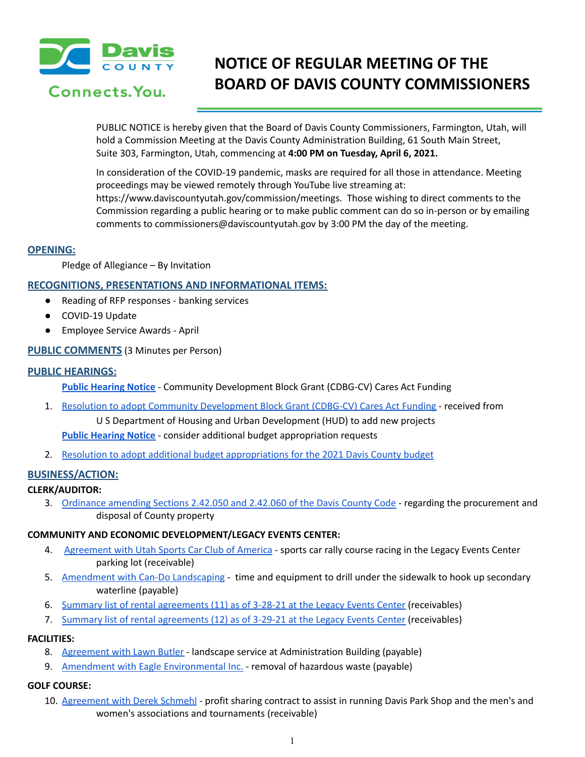

## Connects. You.

# **NOTICE OF REGULAR MEETING OF THE BOARD OF DAVIS COUNTY COMMISSIONERS**

PUBLIC NOTICE is hereby given that the Board of Davis County Commissioners, Farmington, Utah, will hold a Commission Meeting at the Davis County Administration Building, 61 South Main Street, Suite 303, Farmington, Utah, commencing at **4:00 PM on Tuesday, April 6, 2021.**

In consideration of the COVID-19 pandemic, masks are required for all those in attendance. Meeting proceedings may be viewed remotely through YouTube live streaming at: https://www.daviscountyutah.gov/commission/meetings. Those wishing to direct comments to the Commission regarding a public hearing or to make public comment can do so in-person or by emailing comments to commissioners@daviscountyutah.gov by 3:00 PM the day of the meeting.

## **OPENING:**

Pledge of Allegiance – By Invitation

## **RECOGNITIONS, PRESENTATIONS AND INFORMATIONAL ITEMS:**

- Reading of RFP responses banking services
- COVID-19 Update
- Employee Service Awards April

## **PUBLIC COMMENTS** (3 Minutes per Person)

## **PUBLIC HEARINGS:**

- **Public [Hearing](https://drive.google.com/file/d/1dD2UQvm_rF-ZMRqu9N1ZYyKY1_w4qIxI/view?usp=drivesdk) Notice** Community Development Block Grant (CDBG-CV) Cares Act Funding
- 1. Resolution to adopt Community [Development](https://drive.google.com/file/d/1iq_tWYXNW_M0zK_McTJtUlg-t1RY5vOr/view?usp=drivesdk) Block Grant (CDBG-CV) Cares Act Funding received from U S Department of Housing and Urban Development (HUD) to add new projects **Public [Hearing](https://drive.google.com/file/d/1uIcvf3ts-WwrQKDMEifaYv9dgG0SMw5C/view?usp=drivesdk) Notice** - consider additional budget appropriation requests
- 2. Resolution to adopt additional budget [appropriations](https://drive.google.com/file/d/1Ni5t_q8RVoI-3Rr353mG9PtYkeV-L8Ca/view?usp=drivesdk) for the 2021 Davis County budget

## **BUSINESS/ACTION:**

## **CLERK/AUDITOR:**

3. [Ordinance](https://drive.google.com/file/d/1sA8LtsSG0P3NZzUU9BNoBpeoJIRNIcND/view?usp=drivesdk) amending Sections 2.42.050 and 2.42.060 of the Davis County Code - regarding the procurement an[d](https://drive.google.com/file/d/1sA8LtsSG0P3NZzUU9BNoBpeoJIRNIcND/view?usp=drivesdk) disposal of County property

## **COMMUNITY AND ECONOMIC DEVELOPMENT/LEGACY EVENTS CENTER:**

- 4. [Agreement](https://drive.google.com/file/d/1oRvXG0NZtaEUZU6eOOmQlzSt4zhh-QgC/view?usp=drivesdk) with Utah Sports Car Club of America sports car rally course racing in the Legacy Events Center parking lot (receivable)
- 5. [Amendment](https://drive.google.com/file/d/1sfwImJKw_YjdNEDcuq9rnFenrokOnGIt/view?usp=drivesdk) with Can-Do Landscaping time and equipment to drill under the sidewalk to hook up secondary waterline (payable)
- 6. Summary list of rental [agreements](https://drive.google.com/file/d/1VGRRV7vrHaHy2Cba3OwHYW_1RjP0DAgM/view?usp=drivesdk) (11) as of 3-28-21 at the Legacy Events Center (receivables)
- 7. Summary list of rental [agreements](https://drive.google.com/file/d/1UtzFfudWwxM43DHja1OqCjePtypr8rQW/view?usp=drivesdk) (12) as of 3-29-21 at the Legacy Events Center (receivables)

## **FACILITIES:**

- 8. [Agreement](https://drive.google.com/file/d/1SYzrvH5dmgvRUcf4temfiQyhamh-xCCz/view?usp=drivesdk) with Lawn Butler landscape service at Administration Building (payable)
- 9. Amendment with Eagle [Environmental](https://drive.google.com/file/d/1-rTNBuLo5dKKKaMQng7t7skLBZ-9hIck/view?usp=drivesdk) Inc. removal of hazardous waste (payable)

## **GOLF COURSE:**

10. [Agreement](https://drive.google.com/file/d/1nLS2vD_DAjaTsanYVyYHeEdOckrTkif2/view?usp=drivesdk) with Derek Schmehl - profit sharing contract to assist in running Davis Park Shop and the men's and women's associations and tournaments (receivable)